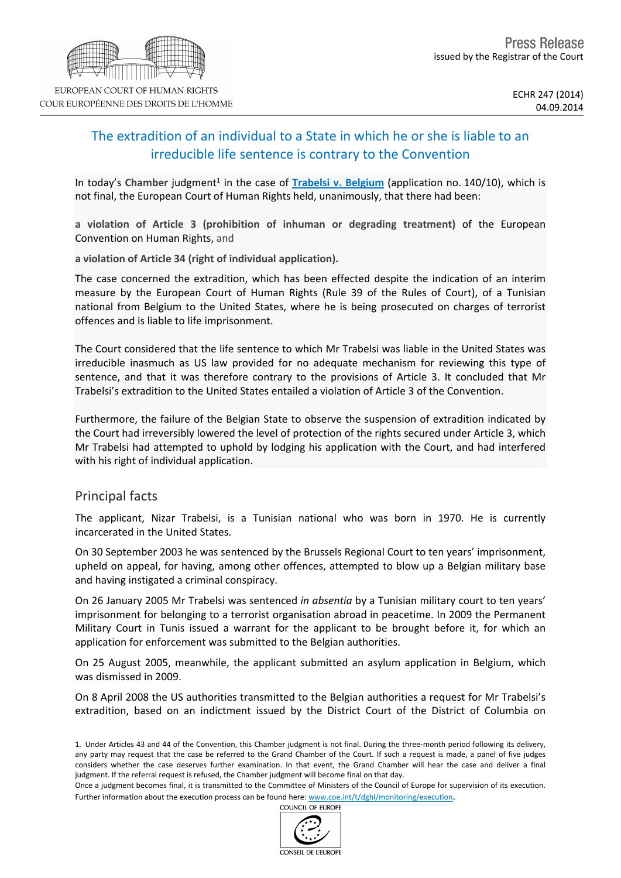# The extradition of an individual to a State in which he or she is liable to an irreducible life sentence is contrary to the Convention

In today's Chamber judgment<sup>1</sup> in the case of [Trabelsi](http://hudoc.echr.coe.int/sites/eng/pages/search.aspx?i=001-146372) [v.](http://hudoc.echr.coe.int/sites/eng/pages/search.aspx?i=001-146372) [Belgium](http://hudoc.echr.coe.int/sites/eng/pages/search.aspx?i=001-146372) (application no. 140/10), which is not final, the European Court of Human Rights held, unanimously, that there had been:

**a violation of Article 3 (prohibition of inhuman or degrading treatment)** of the European Convention on Human Rights, and

**a violation of Article 34 (right of individual application).**

The case concerned the extradition, which has been effected despite the indication of an interim measure by the European Court of Human Rights (Rule 39 of the Rules of Court), of a Tunisian national from Belgium to the United States, where he is being prosecuted on charges of terrorist offences and is liable to life imprisonment.

The Court considered that the life sentence to which Mr Trabelsi was liable in the United States was irreducible inasmuch as US law provided for no adequate mechanism for reviewing this type of sentence, and that it was therefore contrary to the provisions of Article 3. It concluded that Mr Trabelsi's extradition to the United States entailed a violation of Article 3 of the Convention.

Furthermore, the failure of the Belgian State to observe the suspension of extradition indicated by the Court had irreversibly lowered the level of protection of the rights secured under Article 3, which Mr Trabelsi had attempted to uphold by lodging his application with the Court, and had interfered with his right of individual application.

## Principal facts

The applicant, Nizar Trabelsi, is a Tunisian national who was born in 1970. He is currently incarcerated in the United States.

On 30 September 2003 he was sentenced by the Brussels Regional Court to ten years' imprisonment, upheld on appeal, for having, among other offences, attempted to blow up a Belgian military base and having instigated a criminal conspiracy.

On 26 January 2005 Mr Trabelsi was sentenced *in absentia* by a Tunisian military court to ten years' imprisonment for belonging to a terrorist organisation abroad in peacetime. In 2009 the Permanent Military Court in Tunis issued a warrant for the applicant to be brought before it, for which an application for enforcement was submitted to the Belgian authorities.

On 25 August 2005, meanwhile, the applicant submitted an asylum application in Belgium, which was dismissed in 2009.

On 8 April 2008 the US authorities transmitted to the Belgian authorities a request for Mr Trabelsi's extradition, based on an indictment issued by the District Court of the District of Columbia on

Once a judgment becomes final, it is transmitted to the Committee of Ministers of the Council of Europe for supervision of its execution. Further information about the execution process can be found here: [www.coe.int/t/dghl/monitoring/execution](http://www.coe.int/t/dghl/monitoring/execution).

COUNCIL OF EUROPE



<sup>1.</sup> Under Articles 43 and 44 of the Convention, this Chamber judgment is not final. During the three-month period following its delivery, any party may request that the case be referred to the Grand Chamber of the Court. If such a request is made, a panel of five judges considers whether the case deserves further examination. In that event, the Grand Chamber will hear the case and deliver a final judgment. If the referral request is refused, the Chamber judgment will become final on that day.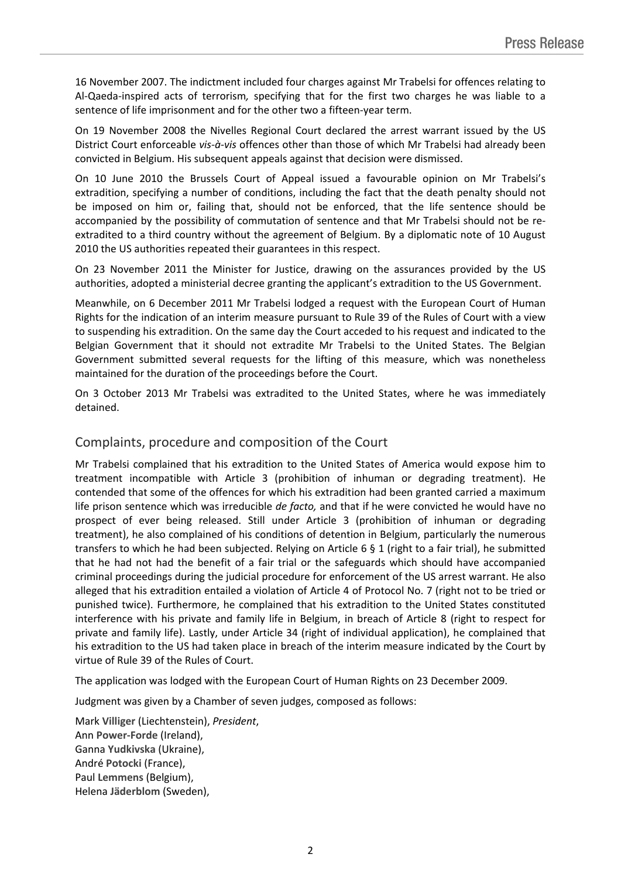16 November 2007. The indictment included four charges against Mr Trabelsi for offences relating to Al-Qaeda-inspired acts of terrorism*,* specifying that for the first two charges he was liable to a sentence of life imprisonment and for the other two a fifteen-year term.

On 19 November 2008 the Nivelles Regional Court declared the arrest warrant issued by the US District Court enforceable *vis-à-vis* offences other than those of which Mr Trabelsi had already been convicted in Belgium. His subsequent appeals against that decision were dismissed.

On 10 June 2010 the Brussels Court of Appeal issued a favourable opinion on Mr Trabelsi's extradition, specifying a number of conditions, including the fact that the death penalty should not be imposed on him or, failing that, should not be enforced, that the life sentence should be accompanied by the possibility of commutation of sentence and that Mr Trabelsi should not be reextradited to a third country without the agreement of Belgium. By a diplomatic note of 10 August 2010 the US authorities repeated their guarantees in this respect.

On 23 November 2011 the Minister for Justice, drawing on the assurances provided by the US authorities, adopted a ministerial decree granting the applicant's extradition to the US Government.

Meanwhile, on 6 December 2011 Mr Trabelsi lodged a request with the European Court of Human Rights for the indication of an interim measure pursuant to Rule 39 of the Rules of Court with a view to suspending his extradition. On the same day the Court acceded to his request and indicated to the Belgian Government that it should not extradite Mr Trabelsi to the United States. The Belgian Government submitted several requests for the lifting of this measure, which was nonetheless maintained for the duration of the proceedings before the Court.

On 3 October 2013 Mr Trabelsi was extradited to the United States, where he was immediately detained.

## Complaints, procedure and composition of the Court

Mr Trabelsi complained that his extradition to the United States of America would expose him to treatment incompatible with Article 3 (prohibition of inhuman or degrading treatment). He contended that some of the offences for which his extradition had been granted carried a maximum life prison sentence which was irreducible *de facto,* and that if he were convicted he would have no prospect of ever being released. Still under Article 3 (prohibition of inhuman or degrading treatment), he also complained of his conditions of detention in Belgium, particularly the numerous transfers to which he had been subjected. Relying on Article 6 § 1 (right to a fair trial), he submitted that he had not had the benefit of a fair trial or the safeguards which should have accompanied criminal proceedings during the judicial procedure for enforcement of the US arrest warrant. He also alleged that his extradition entailed a violation of Article 4 of Protocol No. 7 (right not to be tried or punished twice). Furthermore, he complained that his extradition to the United States constituted interference with his private and family life in Belgium, in breach of Article 8 (right to respect for private and family life). Lastly, under Article 34 (right of individual application), he complained that his extradition to the US had taken place in breach of the interim measure indicated by the Court by virtue of Rule 39 of the Rules of Court.

The application was lodged with the European Court of Human Rights on 23 December 2009.

Judgment was given by a Chamber of seven judges, composed as follows:

Mark **Villiger** (Liechtenstein), *President*, Ann **Power-Forde** (Ireland), Ganna **Yudkivska** (Ukraine), André **Potocki** (France), Paul **Lemmens** (Belgium), Helena **Jäderblom** (Sweden),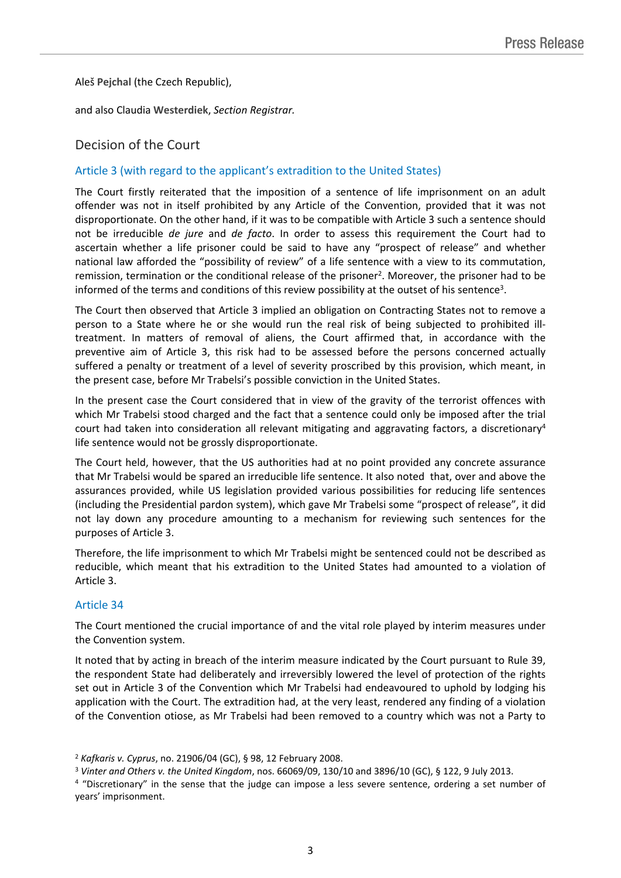Aleš **Pejchal** (the Czech Republic),

and also Claudia **Westerdiek**, *Section Registrar.*

### Decision of the Court

#### Article 3 (with regard to the applicant's extradition to the United States)

The Court firstly reiterated that the imposition of a sentence of life imprisonment on an adult offender was not in itself prohibited by any Article of the Convention, provided that it was not disproportionate. On the other hand, if it was to be compatible with Article 3 such a sentence should not be irreducible *de jure* and *de facto*. In order to assess this requirement the Court had to ascertain whether a life prisoner could be said to have any "prospect of release" and whether national law afforded the "possibility of review" of a life sentence with a view to its commutation, remission, termination or the conditional release of the prisoner<sup>2</sup>. Moreover, the prisoner had to be informed of the terms and conditions of this review possibility at the outset of his sentence<sup>3</sup>.

The Court then observed that Article 3 implied an obligation on Contracting States not to remove a person to a State where he or she would run the real risk of being subjected to prohibited illtreatment. In matters of removal of aliens, the Court affirmed that, in accordance with the preventive aim of Article 3, this risk had to be assessed before the persons concerned actually suffered a penalty or treatment of a level of severity proscribed by this provision, which meant, in the present case, before Mr Trabelsi's possible conviction in the United States.

In the present case the Court considered that in view of the gravity of the terrorist offences with which Mr Trabelsi stood charged and the fact that a sentence could only be imposed after the trial court had taken into consideration all relevant mitigating and aggravating factors, a discretionary<sup>4</sup> life sentence would not be grossly disproportionate.

The Court held, however, that the US authorities had at no point provided any concrete assurance that Mr Trabelsi would be spared an irreducible life sentence. It also noted that, over and above the assurances provided, while US legislation provided various possibilities for reducing life sentences (including the Presidential pardon system), which gave Mr Trabelsi some "prospect of release", it did not lay down any procedure amounting to a mechanism for reviewing such sentences for the purposes of Article 3.

Therefore, the life imprisonment to which Mr Trabelsi might be sentenced could not be described as reducible, which meant that his extradition to the United States had amounted to a violation of Article 3.

#### Article 34

The Court mentioned the crucial importance of and the vital role played by interim measures under the Convention system.

It noted that by acting in breach of the interim measure indicated by the Court pursuant to Rule 39, the respondent State had deliberately and irreversibly lowered the level of protection of the rights set out in Article 3 of the Convention which Mr Trabelsi had endeavoured to uphold by lodging his application with the Court. The extradition had, at the very least, rendered any finding of a violation of the Convention otiose, as Mr Trabelsi had been removed to a country which was not a Party to

<sup>2</sup> *Kafkaris v. Cyprus*, no. 21906/04 (GC), § 98, 12 February 2008.

<sup>3</sup> *Vinter and Others v. the United Kingdom*, nos. 66069/09, 130/10 and 3896/10 (GC), § 122, 9 July 2013.

<sup>4</sup> "Discretionary" in the sense that the judge can impose a less severe sentence, ordering a set number of years' imprisonment.